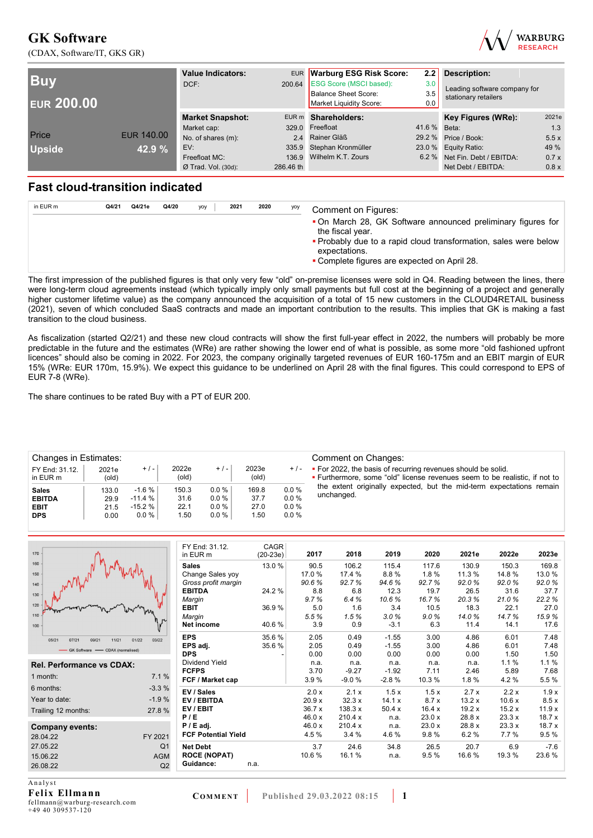(CDAX, Software/IT, GKS GR)



| <b>Buv</b><br><b>EUR 200.00</b> |            | <b>Value Indicators:</b><br>DCF: |           | EUR Warburg ESG Risk Score:<br>200.64 ESG Score (MSCI based):<br><b>Balance Sheet Score:</b><br>Market Liquidity Score: | 2.2<br>3.0<br>3.5<br>0.0 | <b>Description:</b><br>Leading software company for<br>stationary retailers |       |  |
|---------------------------------|------------|----------------------------------|-----------|-------------------------------------------------------------------------------------------------------------------------|--------------------------|-----------------------------------------------------------------------------|-------|--|
|                                 |            | <b>Market Snapshot:</b>          |           | EUR m Shareholders:                                                                                                     |                          | Key Figures (WRe):                                                          | 2021e |  |
|                                 |            | Market cap:                      |           | 329.0 Freefloat                                                                                                         | 41.6 % Beta:             |                                                                             | 1.3   |  |
| Price                           | EUR 140.00 | No. of shares (m):               |           | 2.4 Rainer Gläß                                                                                                         |                          | 29.2 % Price / Book:                                                        | 5.5x  |  |
| <b>Upside</b>                   | 42.9 %     | EV:                              |           | 335.9 Stephan Kronmüller                                                                                                |                          | 23.0 % Equity Ratio:                                                        | 49 %  |  |
|                                 |            | Freefloat MC:                    |           | 136.9 Wilhelm K.T. Zours                                                                                                |                          | 6.2 % Net Fin. Debt / EBITDA:                                               | 0.7x  |  |
|                                 |            | $Ø$ Trad. Vol. (30d):            | 286.46 th |                                                                                                                         |                          | Net Debt / EBITDA:                                                          | 0.8x  |  |

## **Fast cloud-transition indicated**

| in EUR m | Q4/21 | Q4/21e | Q4/20 | yoy | 2021 | 2020 | yoy | <b>Comment on Figures:</b>                                                                                                                                                                                            |
|----------|-------|--------|-------|-----|------|------|-----|-----------------------------------------------------------------------------------------------------------------------------------------------------------------------------------------------------------------------|
|          |       |        |       |     |      |      |     | • On March 28, GK Software announced preliminary figures for<br>the fiscal year.<br>• Probably due to a rapid cloud transformation, sales were below<br>expectations.<br>• Complete figures are expected on April 28. |

The first impression of the published figures is that only very few "old" on-premise licenses were sold in Q4. Reading between the lines, there were long-term cloud agreements instead (which typically imply only small payments but full cost at the beginning of a project and generally higher customer lifetime value) as the company announced the acquisition of a total of 15 new customers in the CLOUD4RETAIL business (2021), seven of which concluded SaaS contracts and made an important contribution to the results. This implies that GK is making a fast transition to the cloud business.

As fiscalization (started Q2/21) and these new cloud contracts will show the first full-year effect in 2022, the numbers will probably be more predictable in the future and the estimates (WRe) are rather showing the lower end of what is possible, as some more "old fashioned upfront licences" should also be coming in 2022. For 2023, the company originally targeted revenues of EUR 160-175m and an EBIT margin of EUR 15% (WRe: EUR 170m, 15.9%). We expect this guidance to be underlined on April 28 with the final figures. This could correspond to EPS of EUR 7-8 (WRe).

The share continues to be rated Buy with a PT of EUR 200.

| Changes in Estimates:<br>FY End: 31.12.<br>$+/-$<br>2021e<br>in EUR m<br>$\left($ old $\right)$<br><b>Sales</b><br>133.0 |      |          | 2022e<br>(old) | $+/-$    | 2023e<br>(old) | $+/-$   | Comment on Changes:<br>• For 2022, the basis of recurring revenues should be solid.<br><b>Example Furthermore, some "old" license revenues seem to be realistic, if not to</b> |
|--------------------------------------------------------------------------------------------------------------------------|------|----------|----------------|----------|----------------|---------|--------------------------------------------------------------------------------------------------------------------------------------------------------------------------------|
|                                                                                                                          |      |          |                |          |                |         |                                                                                                                                                                                |
|                                                                                                                          |      | $-1.6%$  | 150.3          | $0.0\%$  | 169.8          | 0.0%    | the extent originally expected, but the mid-term expectations remain                                                                                                           |
| <b>EBITDA</b>                                                                                                            | 29.9 | $-11.4%$ | 31.6           | $0.0 \%$ | 37.7           | $0.0\%$ | unchanged.                                                                                                                                                                     |
| <b>EBIT</b>                                                                                                              | 21.5 | $-15.2%$ | 22.1           | $0.0 \%$ | 27.0           | $0.0\%$ |                                                                                                                                                                                |
| <b>DPS</b>                                                                                                               | 0.00 | $0.0 \%$ | 1.50           | $0.0 \%$ | 1.50           | 0.0%    |                                                                                                                                                                                |
|                                                                                                                          |      |          |                |          |                |         |                                                                                                                                                                                |

| 170                              |                | FY End: 31.12.             | <b>CAGR</b> | 2017  | 2018    | 2019    | 2020  | 2021e  | 2022e  | 2023e  |
|----------------------------------|----------------|----------------------------|-------------|-------|---------|---------|-------|--------|--------|--------|
| 160                              |                | in EUR m                   | $(20-23e)$  |       |         |         |       |        |        |        |
|                                  |                | <b>Sales</b>               | 13.0 %      | 90.5  | 106.2   | 115.4   | 117.6 | 130.9  | 150.3  | 169.8  |
| 150                              |                | Change Sales yoy           |             | 17.0% | 17.4 %  | 8.8%    | 1.8%  | 11.3 % | 14.8%  | 13.0%  |
| 140                              |                | Gross profit margin        |             | 90.6% | 92.7%   | 94.6%   | 92.7% | 92.0%  | 92.0%  | 92.0%  |
| 130                              |                | <b>EBITDA</b>              | 24.2 %      | 8.8   | 6.8     | 12.3    | 19.7  | 26.5   | 31.6   | 37.7   |
| 120                              |                | Margin                     |             | 9.7%  | 6.4%    | 10.6%   | 16.7% | 20.3%  | 21.0%  | 22.2%  |
|                                  |                | <b>EBIT</b>                | 36.9%       | 5.0   | 1.6     | 3.4     | 10.5  | 18.3   | 22.1   | 27.0   |
| 110                              |                | Margin                     |             | 5.5%  | 1.5%    | 3.0%    | 9.0%  | 14.0%  | 14.7%  | 15.9%  |
| 100                              |                | Net income                 | 40.6%       | 3.9   | 0.9     | $-3.1$  | 6.3   | 11.4   | 14.1   | 17.6   |
| 05/21<br>07/21<br>09/21<br>11/21 | 03/22<br>01/22 | <b>EPS</b>                 | 35.6%       | 2.05  | 0.49    | $-1.55$ | 3.00  | 4.86   | 6.01   | 7.48   |
|                                  |                | EPS adj.                   | 35.6%       | 2.05  | 0.49    | $-1.55$ | 3.00  | 4.86   | 6.01   | 7.48   |
| GK Software - CDAX (normalised)  |                | <b>DPS</b>                 |             | 0.00  | 0.00    | 0.00    | 0.00  | 0.00   | 1.50   | 1.50   |
| <b>Rel. Performance vs CDAX:</b> |                | Dividend Yield             |             | n.a.  | n.a.    | n.a.    | n.a.  | n.a.   | 1.1%   | 1.1%   |
|                                  |                | <b>FCFPS</b>               |             | 3.70  | $-9.27$ | $-1.92$ | 7.11  | 2.46   | 5.89   | 7.68   |
| 1 month:                         | 7.1%           | FCF / Market cap           |             | 3.9%  | $-9.0%$ | $-2.8%$ | 10.3% | 1.8%   | 4.2%   | 5.5 %  |
| 6 months:                        | $-3.3%$        | EV / Sales                 |             | 2.0 x | 2.1 x   | 1.5x    | 1.5x  | 2.7x   | 2.2x   | 1.9x   |
| Year to date:                    | $-1.9%$        | <b>EV/EBITDA</b>           |             | 20.9x | 32.3x   | 14.1 x  | 8.7x  | 13.2x  | 10.6x  | 8.5x   |
| Trailing 12 months:              | 27.8%          | EV/EBIT                    |             | 36.7x | 138.3 x | 50.4x   | 16.4x | 19.2x  | 15.2x  | 11.9x  |
|                                  |                | P/E                        |             | 46.0x | 210.4 x | n.a.    | 23.0x | 28.8 x | 23.3x  | 18.7x  |
| <b>Company events:</b>           |                | $P / E$ adj.               |             | 46.0x | 210.4 x | n.a.    | 23.0x | 28.8 x | 23.3x  | 18.7x  |
| 28.04.22                         | FY 2021        | <b>FCF Potential Yield</b> |             | 4.5 % | 3.4%    | 4.6%    | 9.8%  | 6.2%   | 7.7 %  | 9.5%   |
| 27.05.22                         | Q <sub>1</sub> | <b>Net Debt</b>            |             | 3.7   | 24.6    | 34.8    | 26.5  | 20.7   | 6.9    | $-7.6$ |
| 15.06.22                         | <b>AGM</b>     | <b>ROCE (NOPAT)</b>        |             | 10.6% | 16.1%   | n.a.    | 9.5%  | 16.6%  | 19.3 % | 23.6%  |
| 26.08.22                         | Q2             | Guidance:                  | n.a.        |       |         |         |       |        |        |        |
|                                  |                |                            |             |       |         |         |       |        |        |        |

A n a l y s t **Felix Ellmann**  fellmann@warburg-research.com +49 40 309537-120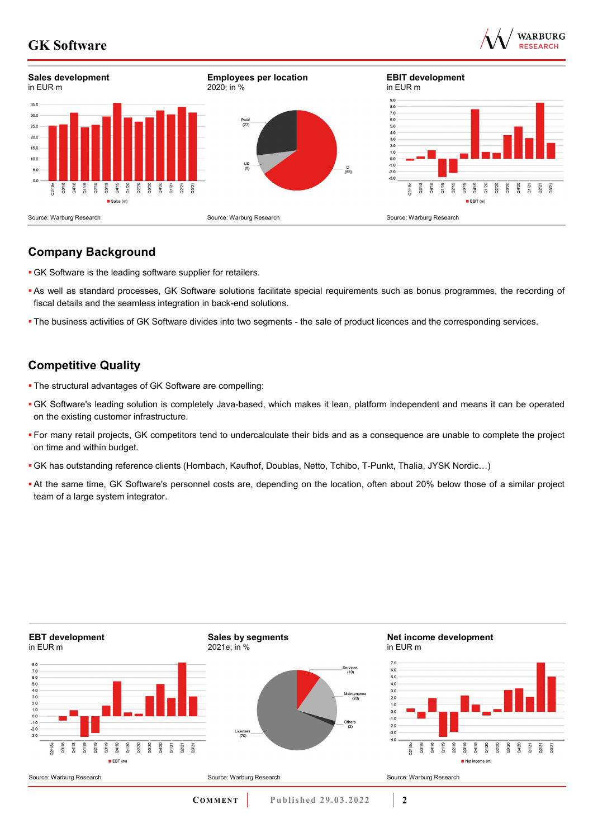



## **Company Background**

- GK Software is the leading software supplier for retailers.
- As well as standard processes, GK Software solutions facilitate special requirements such as bonus programmes, the recording of fiscal details and the seamless integration in back-end solutions.
- The business activities of GK Software divides into two segments the sale of product licences and the corresponding services.

## **Competitive Quality**

- The structural advantages of GK Software are compelling:
- GK Software's leading solution is completely Java-based, which makes it lean, platform independent and means it can be operated on the existing customer infrastructure.
- For many retail projects, GK competitors tend to undercalculate their bids and as a consequence are unable to complete the project on time and within budget.
- GK has outstanding reference clients (Hornbach, Kaufhof, Doublas, Netto, Tchibo, T-Punkt, Thalia, JYSK Nordic…)
- At the same time, GK Software's personnel costs are, depending on the location, often about 20% below those of a similar project team of a large system integrator.

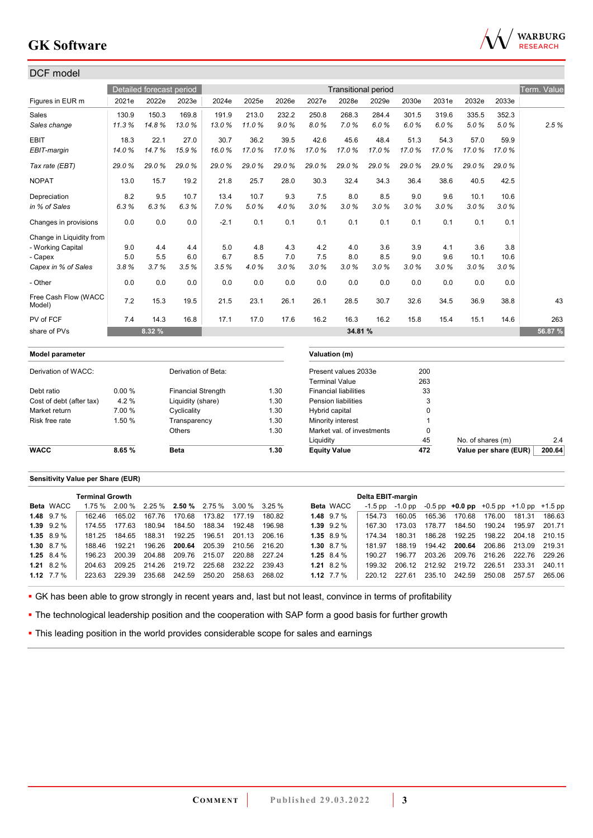

| DCF model                      |        |                          |                           |        |       |       |                |                              |       |       |             |                   |       |             |
|--------------------------------|--------|--------------------------|---------------------------|--------|-------|-------|----------------|------------------------------|-------|-------|-------------|-------------------|-------|-------------|
|                                |        | Detailed forecast period |                           |        |       |       |                | <b>Transitional period</b>   |       |       |             |                   |       | Term. Value |
| Figures in EUR m               | 2021e  | 2022e                    | 2023e                     | 2024e  | 2025e | 2026e | 2027e          | 2028e                        | 2029e | 2030e | 2031e       | 2032e             | 2033e |             |
| Sales                          | 130.9  | 150.3                    | 169.8                     | 191.9  | 213.0 | 232.2 | 250.8          | 268.3                        | 284.4 | 301.5 | 319.6       | 335.5             | 352.3 |             |
| Sales change                   | 11.3%  | 14.8%                    | 13.0%                     | 13.0%  | 11.0% | 9.0%  | 8.0%           | 7.0%                         | 6.0%  | 6.0%  | 6.0%        | 5.0%              | 5.0%  | 2.5%        |
| <b>EBIT</b>                    | 18.3   | 22.1                     | 27.0                      | 30.7   | 36.2  | 39.5  | 42.6           | 45.6                         | 48.4  | 51.3  | 54.3        | 57.0              | 59.9  |             |
| EBIT-margin                    | 14.0%  | 14.7%                    | 15.9%                     | 16.0%  | 17.0% | 17.0% | 17.0%          | 17.0%                        | 17.0% | 17.0% | 17.0%       | 17.0%             | 17.0% |             |
| Tax rate (EBT)                 | 29.0%  | 29.0%                    | 29.0%                     | 29.0%  | 29.0% | 29.0% | 29.0%          | 29.0%                        | 29.0% | 29.0% | 29.0%       | 29.0%             | 29.0% |             |
| <b>NOPAT</b>                   | 13.0   | 15.7                     | 19.2                      | 21.8   | 25.7  | 28.0  | 30.3           | 32.4                         | 34.3  | 36.4  | 38.6        | 40.5              | 42.5  |             |
| Depreciation                   | 8.2    | 9.5                      | 10.7                      | 13.4   | 10.7  | 9.3   | 7.5            | 8.0                          | 8.5   | 9.0   | 9.6         | 10.1              | 10.6  |             |
| in % of Sales                  | 6.3%   | 6.3%                     | 6.3%                      | 7.0%   | 5.0%  | 4.0%  | 3.0%           | 3.0%                         | 3.0%  | 3.0%  | 3.0%        | 3.0%              | 3.0%  |             |
| Changes in provisions          | 0.0    | 0.0                      | 0.0                       | $-2.1$ | 0.1   | 0.1   | 0.1            | 0.1                          | 0.1   | 0.1   | 0.1         | 0.1               | 0.1   |             |
| Change in Liquidity from       |        |                          |                           |        |       |       |                |                              |       |       |             |                   |       |             |
| - Working Capital              | 9.0    | 4.4                      | 4.4                       | 5.0    | 4.8   | 4.3   | 4.2            | 4.0                          | 3.6   | 3.9   | 4.1         | 3.6               | 3.8   |             |
| - Capex                        | 5.0    | 5.5                      | 6.0                       | 6.7    | 8.5   | 7.0   | 7.5            | 8.0                          | 8.5   | 9.0   | 9.6         | 10.1              | 10.6  |             |
| Capex in % of Sales            | 3.8%   | 3.7%                     | 3.5%                      | 3.5%   | 4.0%  | 3.0%  | 3.0%           | 3.0%                         | 3.0%  | 3.0%  | 3.0%        | 3.0%              | 3.0%  |             |
| - Other                        | 0.0    | 0.0                      | 0.0                       | 0.0    | 0.0   | 0.0   | 0.0            | 0.0                          | 0.0   | 0.0   | 0.0         | 0.0               | 0.0   |             |
| Free Cash Flow (WACC<br>Model) | 7.2    | 15.3                     | 19.5                      | 21.5   | 23.1  | 26.1  | 26.1           | 28.5                         | 30.7  | 32.6  | 34.5        | 36.9              | 38.8  | 43          |
| PV of FCF                      | 7.4    | 14.3                     | 16.8                      | 17.1   | 17.0  | 17.6  | 16.2           | 16.3                         | 16.2  | 15.8  | 15.4        | 15.1              | 14.6  | 263         |
| share of PVs                   |        | 8.32 %                   |                           |        |       |       |                | 34.81 %                      |       |       |             |                   |       | 56.87 %     |
| <b>Model parameter</b>         |        |                          |                           |        |       |       |                | Valuation (m)                |       |       |             |                   |       |             |
| Derivation of WACC:            |        |                          | Derivation of Beta:       |        |       |       |                | Present values 2033e         |       | 200   |             |                   |       |             |
|                                |        |                          |                           |        |       |       |                | <b>Terminal Value</b>        |       | 263   |             |                   |       |             |
| Debt ratio                     | 0.00%  |                          | <b>Financial Strength</b> |        |       | 1.30  |                | <b>Financial liabilities</b> |       |       | 33          |                   |       |             |
| Cost of debt (after tax)       | 4.2%   |                          | Liquidity (share)         |        |       | 1.30  |                | <b>Pension liabilities</b>   |       |       | 3           |                   |       |             |
| Market return                  | 7.00 % |                          | Cyclicality               |        |       | 1.30  | Hybrid capital |                              |       |       | $\Omega$    |                   |       |             |
| Risk free rate                 | 1.50 % |                          | Transparency              |        |       | 1.30  |                | Minority interest            |       |       |             |                   |       |             |
|                                |        |                          | Others                    |        |       | 1.30  |                | Market val. of investments   |       |       | $\mathbf 0$ |                   |       |             |
|                                |        |                          |                           |        |       |       | Liquidity      |                              |       |       | 45          | No. of shares (m) |       | 2.4         |

#### **Sensitivity Value per Share (EUR)**

|                  | <b>Terminal Growth</b> |        |                                                    |               |                      |        |        |              |                  | Delta EBIT-margin |        |        |                                                             |                             |        |        |
|------------------|------------------------|--------|----------------------------------------------------|---------------|----------------------|--------|--------|--------------|------------------|-------------------|--------|--------|-------------------------------------------------------------|-----------------------------|--------|--------|
| <b>Beta</b> WACC |                        |        | $1.75\%$ 2.00 % 2.25 % 2.50 % 2.75 % 3.00 % 3.25 % |               |                      |        |        |              | <b>Beta WACC</b> | $-1.5$ pp         |        |        | $-1.0$ pp $-0.5$ pp $+0.0$ pp $+0.5$ pp $+1.0$ pp $+1.5$ pp |                             |        |        |
| 1.48 $9.7\%$     | 162 46                 | 165.02 | 167.76                                             | 170.68        | 173.82               | 177.19 | 180.82 | 1.48 $9.7\%$ |                  | 154 73            | 160.05 | 165.36 | 170.68                                                      | 176.00                      | 181.31 | 186.63 |
| $1.39$ $9.2\%$   | 174.55                 | 177.63 | 180.94                                             | 184.50        | 188.34               | 192.48 | 196.98 |              | $1.39$ $9.2\%$   | 167.30            | 173.03 | 178.77 | 184.50                                                      | 190.24                      | 195.97 | 201.71 |
| $1.35$ 8.9 %     | 181 25                 | 184.65 | 188.31                                             |               | 192.25 196.51 201.13 |        | 206 16 | $1.35$ 8.9 % |                  | 174 34            | 180 31 | 186.28 |                                                             | 192.25 198.22 204.18 210.15 |        |        |
| 1.30 $8.7\%$     | 188.46                 | 192 21 | 196.26                                             |               | 200.64 205.39        | 210.56 | 216.20 | 1.30 $8.7\%$ |                  | 181 97            | 188.19 |        | 194.42 200.64 206.86 213.09                                 |                             |        | 219.31 |
| 1.25 $8.4\%$     | 196 23                 | 200.39 | 204.88                                             | 209.76 215.07 |                      | 220.88 | 227.24 | 1.25 $8.4\%$ |                  | 190.27            | 196 77 | 203.26 | 209.76                                                      | 216.26                      | 222.76 | 229.26 |
| 1.21 $8.2\%$     | 204 63                 |        | 209.25 214.26 219.72 225.68 232.22                 |               |                      |        | 239.43 | 1.21 8.2 $%$ |                  | 199.32            |        |        | 206.12 212.92 219.72 226.51 233.31                          |                             |        | 240.11 |
| 1.12 $7.7\%$     | 223.63                 | 229.39 | 235.68                                             | 242.59        | 250.20               | 258.63 | 268.02 | 1.12 $7.7\%$ |                  | 220.12            | 227.61 |        | 235.10 242.59                                               | 250.08                      | 257.57 | 265.06 |

**WACC 8.65 % Beta** 1.30 **Equity Value 472 Value per share (EUR)** 200.64

GK has been able to grow strongly in recent years and, last but not least, convince in terms of profitability

• The technological leadership position and the cooperation with SAP form a good basis for further growth

**- This leading position in the world provides considerable scope for sales and earnings**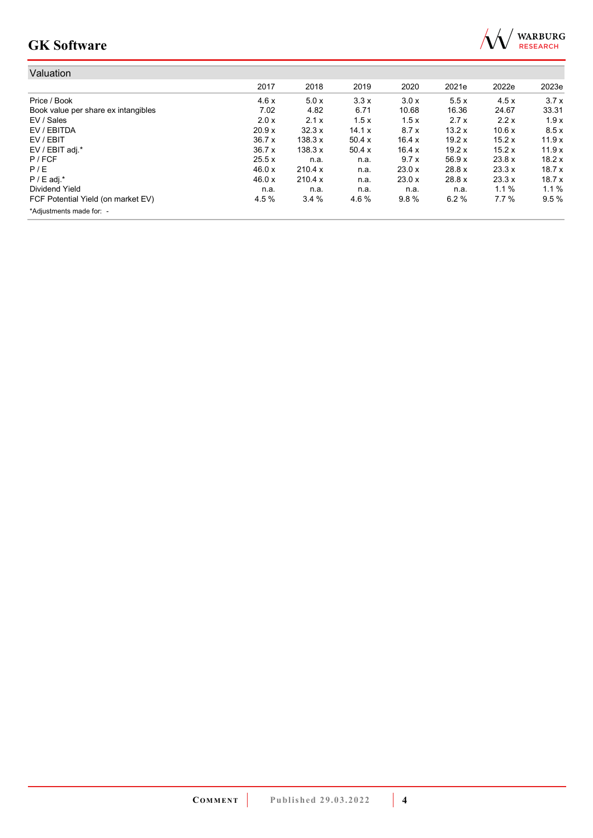

| Valuation                           |        |         |        |        |        |         |       |
|-------------------------------------|--------|---------|--------|--------|--------|---------|-------|
|                                     | 2017   | 2018    | 2019   | 2020   | 2021e  | 2022e   | 2023e |
| Price / Book                        | 4.6x   | 5.0x    | 3.3x   | 3.0x   | 5.5x   | 4.5x    | 3.7x  |
| Book value per share ex intangibles | 7.02   | 4.82    | 6.71   | 10.68  | 16.36  | 24.67   | 33.31 |
| EV / Sales                          | 2.0 x  | 2.1x    | 1.5x   | 1.5x   | 2.7x   | 2.2x    | 1.9x  |
| EV / EBITDA                         | 20.9 x | 32.3x   | 14.1 x | 8.7x   | 13.2x  | 10.6x   | 8.5x  |
| EV / EBIT                           | 36.7x  | 138.3 x | 50.4x  | 16.4 x | 19.2x  | 15.2x   | 11.9x |
| EV / EBIT adj.*                     | 36.7x  | 138.3 x | 50.4x  | 16.4 x | 19.2x  | 15.2x   | 11.9x |
| $P$ / FCF                           | 25.5x  | n.a.    | n.a.   | 9.7x   | 56.9x  | 23.8 x  | 18.2x |
| P/E                                 | 46.0 x | 210.4 x | n.a.   | 23.0x  | 28.8 x | 23.3x   | 18.7x |
| $P / E$ adj.*                       | 46.0 x | 210.4 x | n.a.   | 23.0 x | 28.8 x | 23.3 x  | 18.7x |
| Dividend Yield                      | n.a.   | n.a.    | n.a.   | n.a.   | n.a.   | $1.1\%$ | 1.1%  |
| FCF Potential Yield (on market EV)  | 4.5 %  | 3.4%    | 4.6 %  | 9.8%   | 6.2%   | 7.7%    | 9.5%  |
| *Adjustments made for: -            |        |         |        |        |        |         |       |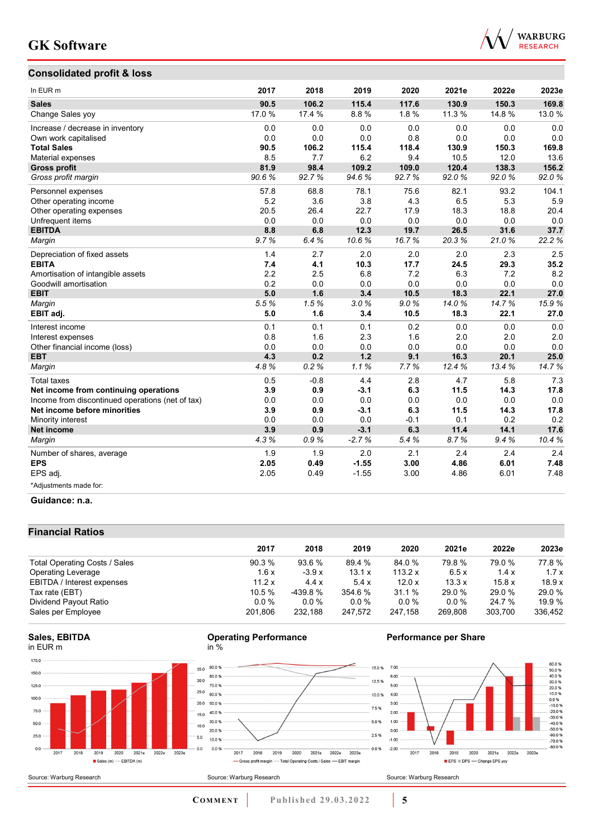## **Consolidated profit & loss**



| In EUR <sub>m</sub>                              | 2017  | 2018   | 2019    | 2020   | 2021e  | 2022e | 2023e |
|--------------------------------------------------|-------|--------|---------|--------|--------|-------|-------|
| <b>Sales</b>                                     | 90.5  | 106.2  | 115.4   | 117.6  | 130.9  | 150.3 | 169.8 |
| Change Sales yoy                                 | 17.0% | 17.4 % | 8.8%    | 1.8%   | 11.3 % | 14.8% | 13.0% |
| Increase / decrease in inventory                 | 0.0   | 0.0    | 0.0     | 0.0    | 0.0    | 0.0   | 0.0   |
| Own work capitalised                             | 0.0   | 0.0    | 0.0     | 0.8    | 0.0    | 0.0   | 0.0   |
| <b>Total Sales</b>                               | 90.5  | 106.2  | 115.4   | 118.4  | 130.9  | 150.3 | 169.8 |
| Material expenses                                | 8.5   | 7.7    | 6.2     | 9.4    | 10.5   | 12.0  | 13.6  |
| <b>Gross profit</b>                              | 81.9  | 98.4   | 109.2   | 109.0  | 120.4  | 138.3 | 156.2 |
| Gross profit margin                              | 90.6% | 92.7%  | 94.6%   | 92.7%  | 92.0%  | 92.0% | 92.0% |
| Personnel expenses                               | 57.8  | 68.8   | 78.1    | 75.6   | 82.1   | 93.2  | 104.1 |
| Other operating income                           | 5.2   | 3.6    | 3.8     | 4.3    | 6.5    | 5.3   | 5.9   |
| Other operating expenses                         | 20.5  | 26.4   | 22.7    | 17.9   | 18.3   | 18.8  | 20.4  |
| Unfrequent items                                 | 0.0   | 0.0    | 0.0     | 0.0    | 0.0    | 0.0   | 0.0   |
| <b>EBITDA</b>                                    | 8.8   | 6.8    | 12.3    | 19.7   | 26.5   | 31.6  | 37.7  |
| Margin                                           | 9.7%  | 6.4%   | 10.6%   | 16.7%  | 20.3%  | 21.0% | 22.2% |
| Depreciation of fixed assets                     | 1.4   | 2.7    | 2.0     | 2.0    | 2.0    | 2.3   | 2.5   |
| <b>EBITA</b>                                     | 7.4   | 4.1    | 10.3    | 17.7   | 24.5   | 29.3  | 35.2  |
| Amortisation of intangible assets                | 2.2   | 2.5    | 6.8     | 7.2    | 6.3    | 7.2   | 8.2   |
| Goodwill amortisation                            | 0.2   | 0.0    | 0.0     | 0.0    | 0.0    | 0.0   | 0.0   |
| <b>EBIT</b>                                      | 5.0   | 1.6    | 3.4     | 10.5   | 18.3   | 22.1  | 27.0  |
| Margin                                           | 5.5%  | 1.5%   | 3.0%    | 9.0%   | 14.0%  | 14.7% | 15.9% |
| EBIT adj.                                        | 5.0   | 1.6    | 3.4     | 10.5   | 18.3   | 22.1  | 27.0  |
| Interest income                                  | 0.1   | 0.1    | 0.1     | 0.2    | 0.0    | 0.0   | 0.0   |
| Interest expenses                                | 0.8   | 1.6    | 2.3     | 1.6    | 2.0    | 2.0   | 2.0   |
| Other financial income (loss)                    | 0.0   | 0.0    | 0.0     | 0.0    | 0.0    | 0.0   | 0.0   |
| <b>EBT</b>                                       | 4.3   | 0.2    | 1.2     | 9.1    | 16.3   | 20.1  | 25.0  |
| Margin                                           | 4.8%  | 0.2%   | 1.1%    | 7.7%   | 12.4%  | 13.4% | 14.7% |
| <b>Total taxes</b>                               | 0.5   | $-0.8$ | 4.4     | 2.8    | 4.7    | 5.8   | 7.3   |
| Net income from continuing operations            | 3.9   | 0.9    | $-3.1$  | 6.3    | 11.5   | 14.3  | 17.8  |
| Income from discontinued operations (net of tax) | 0.0   | 0.0    | 0.0     | 0.0    | 0.0    | 0.0   | 0.0   |
| Net income before minorities                     | 3.9   | 0.9    | $-3.1$  | 6.3    | 11.5   | 14.3  | 17.8  |
| Minority interest                                | 0.0   | 0.0    | 0.0     | $-0.1$ | 0.1    | 0.2   | 0.2   |
| <b>Net income</b>                                | 3.9   | 0.9    | $-3.1$  | 6.3    | 11.4   | 14.1  | 17.6  |
| Margin                                           | 4.3%  | 0.9%   | $-2.7%$ | 5.4%   | 8.7%   | 9.4%  | 10.4% |
| Number of shares, average                        | 1.9   | 1.9    | 2.0     | 2.1    | 2.4    | 2.4   | 2.4   |
| <b>EPS</b>                                       | 2.05  | 0.49   | $-1.55$ | 3.00   | 4.86   | 6.01  | 7.48  |
| EPS adj.                                         | 2.05  | 0.49   | $-1.55$ | 3.00   | 4.86   | 6.01  | 7.48  |
| *Adjustments made for:                           |       |        |         |        |        |       |       |

#### **Guidance: n.a.**

## **Financial Ratios**

| 2017    | 2018      | 2019    | 2020      | 2021e   | 2022e   | 2023e   |
|---------|-----------|---------|-----------|---------|---------|---------|
| 90.3%   | 93.6 %    | 89.4 %  | 84.0 %    | 79.8%   | 79.0 %  | 77.8%   |
| 1.6x    | $-3.9x$   | 13.1 x  | 113.2 $x$ | 6.5x    | 1.4x    | 1.7x    |
| 11.2 x  | 4.4x      | 5.4x    | 12.0x     | 13.3x   | 15.8x   | 18.9x   |
| 10.5%   | $-439.8%$ | 354.6 % | 31.1%     | 29.0 %  | 29.0 %  | 29.0 %  |
| $0.0\%$ | $0.0\%$   | $0.0\%$ | $0.0\%$   | 0.0%    | 24.7 %  | 19.9 %  |
| 201.806 | 232.188   | 247.572 | 247.158   | 269.808 | 303.700 | 336,452 |
|         |           |         |           |         |         |         |

#### **Sales, EBITDA** in EUR m

Source: Warburg Research







## **Performance per Share**

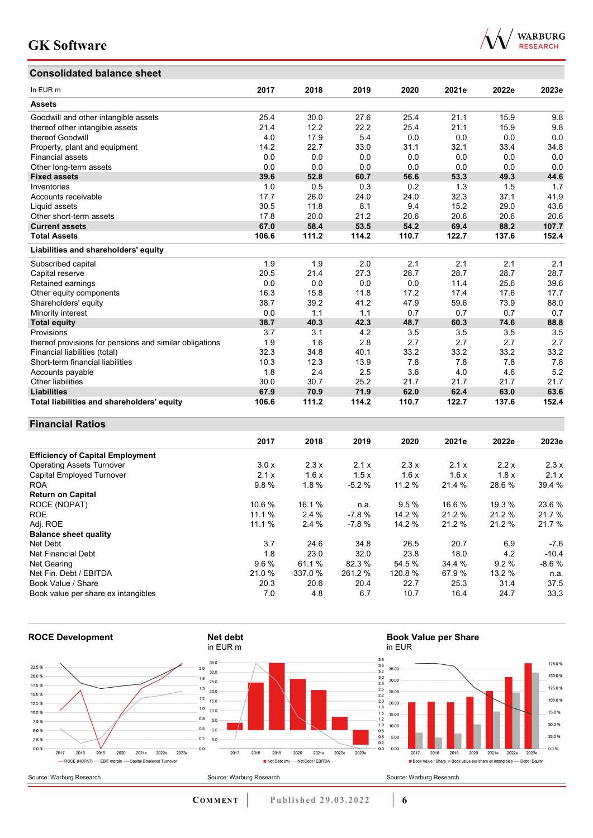## **Consolidated balance sheet**



| CONSONUALEU DAIANCE SHEEL                               |       |       |       |       |       |       |       |
|---------------------------------------------------------|-------|-------|-------|-------|-------|-------|-------|
| In EUR m                                                | 2017  | 2018  | 2019  | 2020  | 2021e | 2022e | 2023e |
| <b>Assets</b>                                           |       |       |       |       |       |       |       |
| Goodwill and other intangible assets                    | 25.4  | 30.0  | 27.6  | 25.4  | 21.1  | 15.9  | 9.8   |
| thereof other intangible assets                         | 21.4  | 12.2  | 22.2  | 25.4  | 21.1  | 15.9  | 9.8   |
| thereof Goodwill                                        | 4.0   | 17.9  | 5.4   | 0.0   | 0.0   | 0.0   | 0.0   |
| Property, plant and equipment                           | 14.2  | 22.7  | 33.0  | 31.1  | 32.1  | 33.4  | 34.8  |
| <b>Financial assets</b>                                 | 0.0   | 0.0   | 0.0   | 0.0   | 0.0   | 0.0   | 0.0   |
| Other long-term assets                                  | 0.0   | 0.0   | 0.0   | 0.0   | 0.0   | 0.0   | 0.0   |
| <b>Fixed assets</b>                                     | 39.6  | 52.8  | 60.7  | 56.6  | 53.3  | 49.3  | 44.6  |
| Inventories                                             | 1.0   | 0.5   | 0.3   | 0.2   | 1.3   | 1.5   | 1.7   |
| Accounts receivable                                     | 17.7  | 26.0  | 24.0  | 24.0  | 32.3  | 37.1  | 41.9  |
| Liquid assets                                           | 30.5  | 11.8  | 8.1   | 9.4   | 15.2  | 29.0  | 43.6  |
| Other short-term assets                                 | 17.8  | 20.0  | 21.2  | 20.6  | 20.6  | 20.6  | 20.6  |
| <b>Current assets</b>                                   | 67.0  | 58.4  | 53.5  | 54.2  | 69.4  | 88.2  | 107.7 |
| <b>Total Assets</b>                                     | 106.6 | 111.2 | 114.2 | 110.7 | 122.7 | 137.6 | 152.4 |
| Liabilities and shareholders' equity                    |       |       |       |       |       |       |       |
| Subscribed capital                                      | 1.9   | 1.9   | 2.0   | 2.1   | 2.1   | 2.1   | 2.1   |
| Capital reserve                                         | 20.5  | 21.4  | 27.3  | 28.7  | 28.7  | 28.7  | 28.7  |
| Retained earnings                                       | 0.0   | 0.0   | 0.0   | 0.0   | 11.4  | 25.6  | 39.6  |
| Other equity components                                 | 16.3  | 15.8  | 11.8  | 17.2  | 17.4  | 17.6  | 17.7  |
| Shareholders' equity                                    | 38.7  | 39.2  | 41.2  | 47.9  | 59.6  | 73.9  | 88.0  |
| Minority interest                                       | 0.0   | 1.1   | 1.1   | 0.7   | 0.7   | 0.7   | 0.7   |
| <b>Total equity</b>                                     | 38.7  | 40.3  | 42.3  | 48.7  | 60.3  | 74.6  | 88.8  |
| Provisions                                              | 3.7   | 3.1   | 4.2   | 3.5   | 3.5   | 3.5   | 3.5   |
| thereof provisions for pensions and similar obligations | 1.9   | 1.6   | 2.8   | 2.7   | 2.7   | 2.7   | 2.7   |
| Financial liabilities (total)                           | 32.3  | 34.8  | 40.1  | 33.2  | 33.2  | 33.2  | 33.2  |
| Short-term financial liabilities                        | 10.3  | 12.3  | 13.9  | 7.8   | 7.8   | 7.8   | 7.8   |
| Accounts payable                                        | 1.8   | 2.4   | 2.5   | 3.6   | 4.0   | 4.6   | 5.2   |
| <b>Other liabilities</b>                                | 30.0  | 30.7  | 25.2  | 21.7  | 21.7  | 21.7  | 21.7  |
| <b>Liabilities</b>                                      | 67.9  | 70.9  | 71.9  | 62.0  | 62.4  | 63.0  | 63.6  |
| Total liabilities and shareholders' equity              | 106.6 | 111.2 | 114.2 | 110.7 | 122.7 | 137.6 | 152.4 |

### **Financial Ratios**

|                                         | 2017   | 2018    | 2019    | 2020    | 2021e  | 2022e  | 2023e   |
|-----------------------------------------|--------|---------|---------|---------|--------|--------|---------|
| <b>Efficiency of Capital Employment</b> |        |         |         |         |        |        |         |
| <b>Operating Assets Turnover</b>        | 3.0x   | 2.3x    | 2.1x    | 2.3x    | 2.1x   | 2.2x   | 2.3x    |
| Capital Employed Turnover               | 2.1x   | 1.6x    | 1.5x    | 1.6x    | 1.6x   | 1.8x   | 2.1x    |
| <b>ROA</b>                              | 9.8%   | 1.8%    | $-5.2%$ | 11.2 %  | 21.4 % | 28.6%  | 39.4 %  |
| <b>Return on Capital</b>                |        |         |         |         |        |        |         |
| ROCE (NOPAT)                            | 10.6 % | 16.1 %  | n.a.    | 9.5%    | 16.6 % | 19.3 % | 23.6 %  |
| <b>ROE</b>                              | 11.1%  | $2.4\%$ | -7.8 %  | 14.2%   | 21.2%  | 21.2%  | 21.7%   |
| Adj. ROE                                | 11.1 % | 2.4 %   | $-7.8%$ | 14.2 %  | 21.2 % | 21.2 % | 21.7%   |
| <b>Balance sheet quality</b>            |        |         |         |         |        |        |         |
| Net Debt                                | 3.7    | 24.6    | 34.8    | 26.5    | 20.7   | 6.9    | $-7.6$  |
| Net Financial Debt                      | 1.8    | 23.0    | 32.0    | 23.8    | 18.0   | 4.2    | $-10.4$ |
| Net Gearing                             | 9.6%   | 61.1 %  | 82.3 %  | 54.5 %  | 34.4 % | 9.2%   | $-8.6%$ |
| Net Fin. Debt / EBITDA                  | 21.0 % | 337.0 % | 261.2%  | 120.8 % | 67.9%  | 13.2 % | n.a.    |
| Book Value / Share                      | 20.3   | 20.6    | 20.4    | 22.7    | 25.3   | 31.4   | 37.5    |
| Book value per share ex intangibles     | 7.0    | 4.8     | 6.7     | 10.7    | 16.4   | 24.7   | 33.3    |

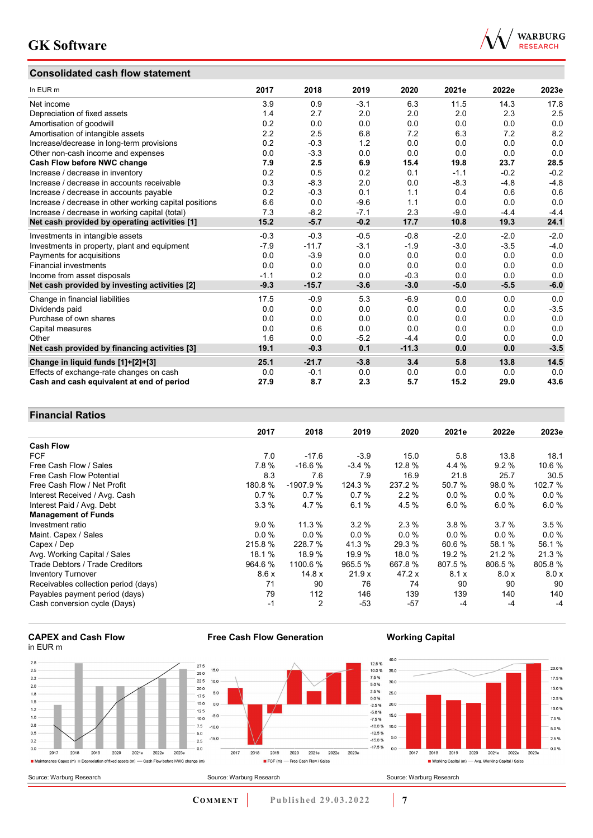## **Consolidated cash flow statement**



| In EUR m                                               | 2017   | 2018    | 2019   | 2020    | 2021e  | 2022e  | 2023e  |
|--------------------------------------------------------|--------|---------|--------|---------|--------|--------|--------|
| Net income                                             | 3.9    | 0.9     | $-3.1$ | 6.3     | 11.5   | 14.3   | 17.8   |
| Depreciation of fixed assets                           | 1.4    | 2.7     | 2.0    | 2.0     | 2.0    | 2.3    | 2.5    |
| Amortisation of goodwill                               | 0.2    | 0.0     | 0.0    | 0.0     | 0.0    | 0.0    | 0.0    |
| Amortisation of intangible assets                      | 2.2    | 2.5     | 6.8    | 7.2     | 6.3    | 7.2    | 8.2    |
| Increase/decrease in long-term provisions              | 0.2    | $-0.3$  | 1.2    | 0.0     | 0.0    | 0.0    | 0.0    |
| Other non-cash income and expenses                     | 0.0    | $-3.3$  | 0.0    | 0.0     | 0.0    | 0.0    | 0.0    |
| Cash Flow before NWC change                            | 7.9    | 2.5     | 6.9    | 15.4    | 19.8   | 23.7   | 28.5   |
| Increase / decrease in inventory                       | 0.2    | 0.5     | 0.2    | 0.1     | $-1.1$ | $-0.2$ | $-0.2$ |
| Increase / decrease in accounts receivable             | 0.3    | $-8.3$  | 2.0    | 0.0     | $-8.3$ | $-4.8$ | $-4.8$ |
| Increase / decrease in accounts payable                | 0.2    | $-0.3$  | 0.1    | 1.1     | 0.4    | 0.6    | 0.6    |
| Increase / decrease in other working capital positions | 6.6    | 0.0     | $-9.6$ | 1.1     | 0.0    | 0.0    | 0.0    |
| Increase / decrease in working capital (total)         | 7.3    | $-8.2$  | $-7.1$ | 2.3     | $-9.0$ | $-4.4$ | $-4.4$ |
| Net cash provided by operating activities [1]          | 15.2   | $-5.7$  | $-0.2$ | 17.7    | 10.8   | 19.3   | 24.1   |
| Investments in intangible assets                       | $-0.3$ | $-0.3$  | $-0.5$ | $-0.8$  | $-2.0$ | $-2.0$ | $-2.0$ |
| Investments in property, plant and equipment           | $-7.9$ | $-11.7$ | $-3.1$ | $-1.9$  | $-3.0$ | $-3.5$ | $-4.0$ |
| Payments for acquisitions                              | 0.0    | $-3.9$  | 0.0    | 0.0     | 0.0    | 0.0    | 0.0    |
| <b>Financial investments</b>                           | 0.0    | 0.0     | 0.0    | 0.0     | 0.0    | 0.0    | 0.0    |
| Income from asset disposals                            | $-1.1$ | 0.2     | 0.0    | $-0.3$  | 0.0    | 0.0    | 0.0    |
| Net cash provided by investing activities [2]          | $-9.3$ | $-15.7$ | $-3.6$ | $-3.0$  | $-5.0$ | $-5.5$ | $-6.0$ |
| Change in financial liabilities                        | 17.5   | $-0.9$  | 5.3    | $-6.9$  | 0.0    | 0.0    | 0.0    |
| Dividends paid                                         | 0.0    | 0.0     | 0.0    | 0.0     | 0.0    | 0.0    | $-3.5$ |
| Purchase of own shares                                 | 0.0    | 0.0     | 0.0    | 0.0     | 0.0    | 0.0    | 0.0    |
| Capital measures                                       | 0.0    | 0.6     | 0.0    | 0.0     | 0.0    | 0.0    | 0.0    |
| Other                                                  | 1.6    | 0.0     | $-5.2$ | $-4.4$  | 0.0    | 0.0    | 0.0    |
| Net cash provided by financing activities [3]          | 19.1   | $-0.3$  | 0.1    | $-11.3$ | 0.0    | 0.0    | $-3.5$ |
| Change in liquid funds [1]+[2]+[3]                     | 25.1   | $-21.7$ | $-3.8$ | 3.4     | 5.8    | 13.8   | 14.5   |
| Effects of exchange-rate changes on cash               | 0.0    | $-0.1$  | 0.0    | 0.0     | 0.0    | 0.0    | 0.0    |
| Cash and cash equivalent at end of period              | 27.9   | 8.7     | 2.3    | 5.7     | 15.2   | 29.0   | 43.6   |

## **Financial Ratios**

| 1 1114117141 RAGO                    |         |            |         |         |         |         |         |
|--------------------------------------|---------|------------|---------|---------|---------|---------|---------|
|                                      | 2017    | 2018       | 2019    | 2020    | 2021e   | 2022e   | 2023e   |
| <b>Cash Flow</b>                     |         |            |         |         |         |         |         |
| <b>FCF</b>                           | 7.0     | $-17.6$    | $-3.9$  | 15.0    | 5.8     | 13.8    | 18.1    |
| Free Cash Flow / Sales               | 7.8%    | $-16.6%$   | $-3.4%$ | 12.8 %  | 4.4 %   | 9.2%    | 10.6%   |
| <b>Free Cash Flow Potential</b>      | 8.3     | 7.6        | 7.9     | 16.9    | 21.8    | 25.7    | 30.5    |
| Free Cash Flow / Net Profit          | 180.8 % | $-1907.9%$ | 124.3 % | 237.2 % | 50.7 %  | 98.0 %  | 102.7 % |
| Interest Received / Avg. Cash        | 0.7%    | 0.7%       | 0.7%    | 2.2%    | 0.0 %   | $0.0\%$ | $0.0\%$ |
| Interest Paid / Avg. Debt            | 3.3%    | 4.7 %      | 6.1%    | 4.5 %   | 6.0%    | 6.0%    | 6.0%    |
| <b>Management of Funds</b>           |         |            |         |         |         |         |         |
| Investment ratio                     | 9.0%    | 11.3%      | 3.2%    | 2.3%    | 3.8%    | 3.7%    | 3.5%    |
| Maint. Capex / Sales                 | $0.0\%$ | $0.0 \%$   | $0.0\%$ | $0.0\%$ | $0.0\%$ | $0.0\%$ | $0.0\%$ |
| Capex / Dep                          | 215.8%  | 228.7 %    | 41.3 %  | 29.3 %  | 60.6 %  | 58.1 %  | 56.1%   |
| Avg. Working Capital / Sales         | 18.1%   | 18.9 %     | 19.9 %  | 18.0 %  | 19.2 %  | 21.2 %  | 21.3 %  |
| Trade Debtors / Trade Creditors      | 964.6 % | 1100.6 %   | 965.5 % | 667.8 % | 807.5 % | 806.5%  | 805.8%  |
| <b>Inventory Turnover</b>            | 8.6x    | 14.8 x     | 21.9x   | 47.2 x  | 8.1 x   | 8.0 x   | 8.0 x   |
| Receivables collection period (days) | 71      | 90         | 76      | 74      | 90      | 90      | 90      |
| Payables payment period (days)       | 79      | 112        | 146     | 139     | 139     | 140     | 140     |
| Cash conversion cycle (Days)         | $-1$    | 2          | $-53$   | $-57$   | $-4$    | $-4$    | $-4$    |

**Free Cash Flow Generation**

#### **CAPEX and Cash Flow** in EUR m



## **Working Capital**

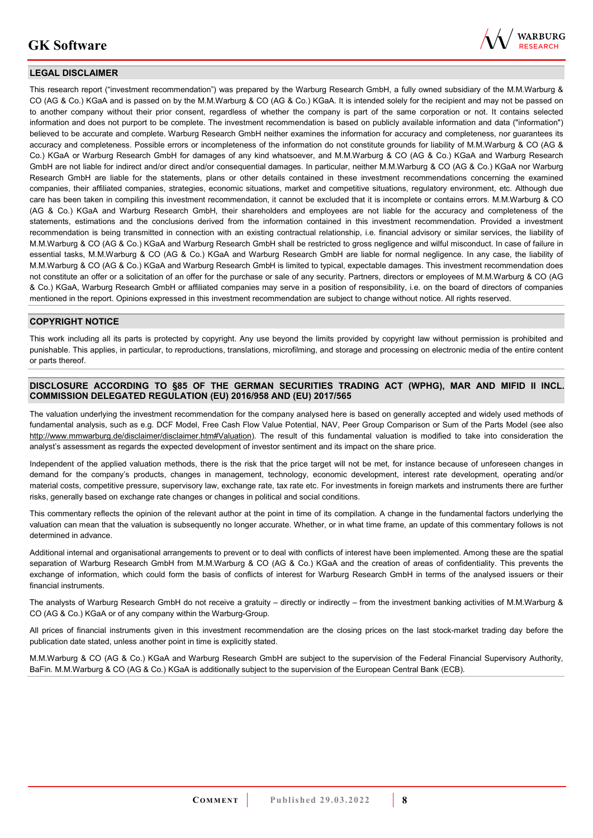

### **LEGAL DISCLAIMER**

This research report ("investment recommendation") was prepared by the Warburg Research GmbH, a fully owned subsidiary of the M.M.Warburg & CO (AG & Co.) KGaA and is passed on by the M.M.Warburg & CO (AG & Co.) KGaA. It is intended solely for the recipient and may not be passed on to another company without their prior consent, regardless of whether the company is part of the same corporation or not. It contains selected information and does not purport to be complete. The investment recommendation is based on publicly available information and data ("information") believed to be accurate and complete. Warburg Research GmbH neither examines the information for accuracy and completeness, nor guarantees its accuracy and completeness. Possible errors or incompleteness of the information do not constitute grounds for liability of M.M.Warburg & CO (AG & Co.) KGaA or Warburg Research GmbH for damages of any kind whatsoever, and M.M.Warburg & CO (AG & Co.) KGaA and Warburg Research GmbH are not liable for indirect and/or direct and/or consequential damages. In particular, neither M.M.Warburg & CO (AG & Co.) KGaA nor Warburg Research GmbH are liable for the statements, plans or other details contained in these investment recommendations concerning the examined companies, their affiliated companies, strategies, economic situations, market and competitive situations, regulatory environment, etc. Although due care has been taken in compiling this investment recommendation, it cannot be excluded that it is incomplete or contains errors. M.M.Warburg & CO (AG & Co.) KGaA and Warburg Research GmbH, their shareholders and employees are not liable for the accuracy and completeness of the statements, estimations and the conclusions derived from the information contained in this investment recommendation. Provided a investment recommendation is being transmitted in connection with an existing contractual relationship, i.e. financial advisory or similar services, the liability of M.M.Warburg & CO (AG & Co.) KGaA and Warburg Research GmbH shall be restricted to gross negligence and wilful misconduct. In case of failure in essential tasks, M.M.Warburg & CO (AG & Co.) KGaA and Warburg Research GmbH are liable for normal negligence. In any case, the liability of M.M.Warburg & CO (AG & Co.) KGaA and Warburg Research GmbH is limited to typical, expectable damages. This investment recommendation does not constitute an offer or a solicitation of an offer for the purchase or sale of any security. Partners, directors or employees of M.M.Warburg & CO (AG & Co.) KGaA, Warburg Research GmbH or affiliated companies may serve in a position of responsibility, i.e. on the board of directors of companies mentioned in the report. Opinions expressed in this investment recommendation are subject to change without notice. All rights reserved.

### **COPYRIGHT NOTICE**

This work including all its parts is protected by copyright. Any use beyond the limits provided by copyright law without permission is prohibited and punishable. This applies, in particular, to reproductions, translations, microfilming, and storage and processing on electronic media of the entire content or parts thereof.

### **DISCLOSURE ACCORDING TO §85 OF THE GERMAN SECURITIES TRADING ACT (WPHG), MAR AND MIFID II INCL. COMMISSION DELEGATED REGULATION (EU) 2016/958 AND (EU) 2017/565**

The valuation underlying the investment recommendation for the company analysed here is based on generally accepted and widely used methods of fundamental analysis, such as e.g. DCF Model, Free Cash Flow Value Potential, NAV, Peer Group Comparison or Sum of the Parts Model (see also [http://www.mmwarburg.de/disclaimer/disclaimer.htm#Valuation\)](http://www.mmwarburg.de/disclaimer/disclaimer.htm#Valuation). The result of this fundamental valuation is modified to take into consideration the analyst's assessment as regards the expected development of investor sentiment and its impact on the share price.

Independent of the applied valuation methods, there is the risk that the price target will not be met, for instance because of unforeseen changes in demand for the company's products, changes in management, technology, economic development, interest rate development, operating and/or material costs, competitive pressure, supervisory law, exchange rate, tax rate etc. For investments in foreign markets and instruments there are further risks, generally based on exchange rate changes or changes in political and social conditions.

This commentary reflects the opinion of the relevant author at the point in time of its compilation. A change in the fundamental factors underlying the valuation can mean that the valuation is subsequently no longer accurate. Whether, or in what time frame, an update of this commentary follows is not determined in advance.

Additional internal and organisational arrangements to prevent or to deal with conflicts of interest have been implemented. Among these are the spatial separation of Warburg Research GmbH from M.M.Warburg & CO (AG & Co.) KGaA and the creation of areas of confidentiality. This prevents the exchange of information, which could form the basis of conflicts of interest for Warburg Research GmbH in terms of the analysed issuers or their financial instruments.

The analysts of Warburg Research GmbH do not receive a gratuity – directly or indirectly – from the investment banking activities of M.M.Warburg & CO (AG & Co.) KGaA or of any company within the Warburg-Group.

All prices of financial instruments given in this investment recommendation are the closing prices on the last stock-market trading day before the publication date stated, unless another point in time is explicitly stated.

M.M.Warburg & CO (AG & Co.) KGaA and Warburg Research GmbH are subject to the supervision of the Federal Financial Supervisory Authority, BaFin. M.M.Warburg & CO (AG & Co.) KGaA is additionally subject to the supervision of the European Central Bank (ECB).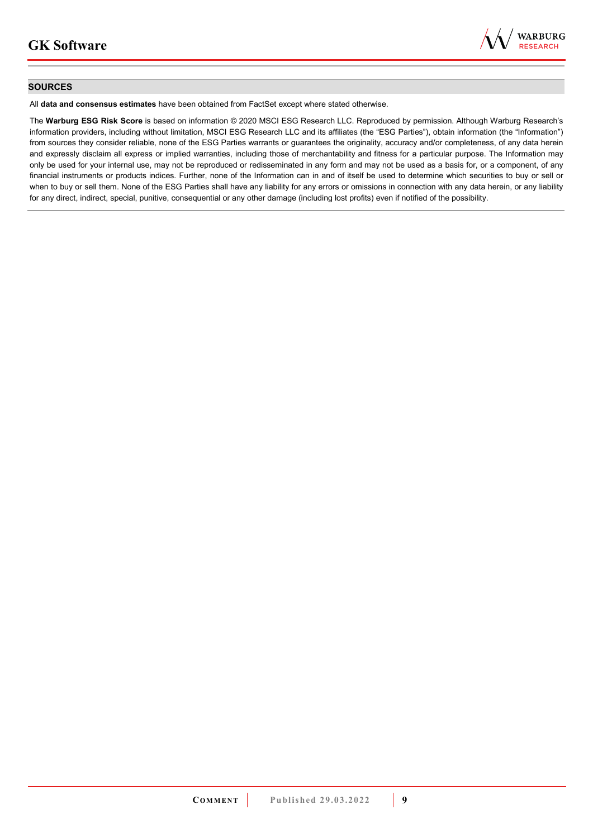

### **SOURCES**

All **data and consensus estimates** have been obtained from FactSet except where stated otherwise.

The **Warburg ESG Risk Score** is based on information © 2020 MSCI ESG Research LLC. Reproduced by permission. Although Warburg Research's information providers, including without limitation, MSCI ESG Research LLC and its affiliates (the "ESG Parties"), obtain information (the "Information") from sources they consider reliable, none of the ESG Parties warrants or guarantees the originality, accuracy and/or completeness, of any data herein and expressly disclaim all express or implied warranties, including those of merchantability and fitness for a particular purpose. The Information may only be used for your internal use, may not be reproduced or redisseminated in any form and may not be used as a basis for, or a component, of any financial instruments or products indices. Further, none of the Information can in and of itself be used to determine which securities to buy or sell or when to buy or sell them. None of the ESG Parties shall have any liability for any errors or omissions in connection with any data herein, or any liability for any direct, indirect, special, punitive, consequential or any other damage (including lost profits) even if notified of the possibility.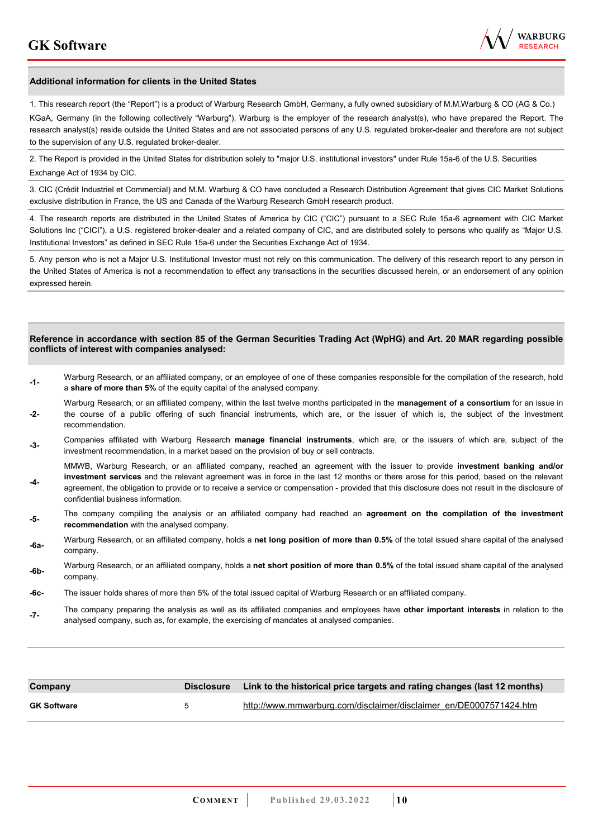

#### **Additional information for clients in the United States**

1. This research report (the "Report") is a product of Warburg Research GmbH, Germany, a fully owned subsidiary of M.M.Warburg & CO (AG & Co.)

KGaA, Germany (in the following collectively "Warburg"). Warburg is the employer of the research analyst(s), who have prepared the Report. The research analyst(s) reside outside the United States and are not associated persons of any U.S. regulated broker-dealer and therefore are not subject to the supervision of any U.S. regulated broker-dealer.

2. The Report is provided in the United States for distribution solely to "major U.S. institutional investors" under Rule 15a-6 of the U.S. Securities Exchange Act of 1934 by CIC.

3. CIC (Crédit Industriel et Commercial) and M.M. Warburg & CO have concluded a Research Distribution Agreement that gives CIC Market Solutions exclusive distribution in France, the US and Canada of the Warburg Research GmbH research product.

4. The research reports are distributed in the United States of America by CIC ("CIC") pursuant to a SEC Rule 15a-6 agreement with CIC Market Solutions Inc ("CICI"), a U.S. registered broker-dealer and a related company of CIC, and are distributed solely to persons who qualify as "Major U.S. Institutional Investors" as defined in SEC Rule 15a-6 under the Securities Exchange Act of 1934.

5. Any person who is not a Major U.S. Institutional Investor must not rely on this communication. The delivery of this research report to any person in the United States of America is not a recommendation to effect any transactions in the securities discussed herein, or an endorsement of any opinion expressed herein.

#### **Reference in accordance with section 85 of the German Securities Trading Act (WpHG) and Art. 20 MAR regarding possible conflicts of interest with companies analysed:**

- **-1-** Warburg Research, or an affiliated company, or an employee of one of these companies responsible for the compilation of the research, hold a **share of more than 5%** of the equity capital of the analysed company.
- **-2-**  Warburg Research, or an affiliated company, within the last twelve months participated in the **management of a consortium** for an issue in the course of a public offering of such financial instruments, which are, or the issuer of which is, the subject of the investment recommendation.
- **-3-** Companies affiliated with Warburg Research **manage financial instruments**, which are, or the issuers of which are, subject of the investment recommendation, in a market based on the provision of buy or sell contracts.

MMWB, Warburg Research, or an affiliated company, reached an agreement with the issuer to provide **investment banking and/or investment services** and the relevant agreement was in force in the last 12 months or there arose for this period, based on the relevant

- **-4**  agreement, the obligation to provide or to receive a service or compensation - provided that this disclosure does not result in the disclosure of confidential business information.
- **-5-** The company compiling the analysis or an affiliated company had reached an **agreement on the compilation of the investment recommendation** with the analysed company.
- **-6a-** Warburg Research, or an affiliated company, holds a **net long position of more than 0.5%** of the total issued share capital of the analysed company.
- **-6b-** Warburg Research, or an affiliated company, holds a **net short position of more than 0.5%** of the total issued share capital of the analysed company.
- **-6c-** The issuer holds shares of more than 5% of the total issued capital of Warburg Research or an affiliated company.
- **-7-** The company preparing the analysis as well as its affiliated companies and employees have **other important interests** in relation to the analysed company, such as, for example, the exercising of mandates at analysed companies.

| Company            |              | Disclosure Link to the historical price targets and rating changes (last 12 months) |
|--------------------|--------------|-------------------------------------------------------------------------------------|
| <b>GK Software</b> | $\mathbf{p}$ | http://www.mmwarburg.com/disclaimer/disclaimer_en/DE0007571424.htm                  |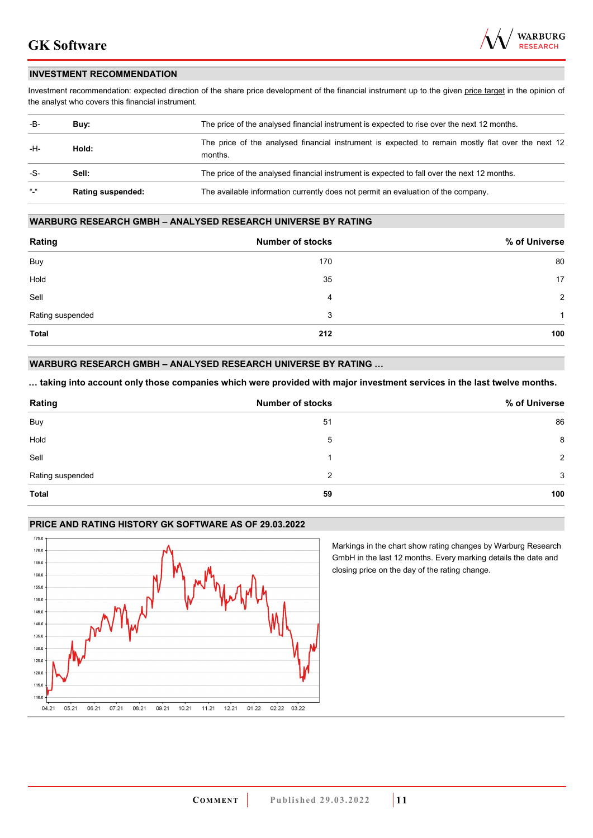

### **INVESTMENT RECOMMENDATION**

Investment recommendation: expected direction of the share price development of the financial instrument up to the given price target in the opinion of the analyst who covers this financial instrument.

| -B-             | Buy:                     | The price of the analysed financial instrument is expected to rise over the next 12 months.                  |
|-----------------|--------------------------|--------------------------------------------------------------------------------------------------------------|
| -H-             | Hold:                    | The price of the analysed financial instrument is expected to remain mostly flat over the next 12<br>months. |
| -S-             | Sell:                    | The price of the analysed financial instrument is expected to fall over the next 12 months.                  |
| $\frac{16}{16}$ | <b>Rating suspended:</b> | The available information currently does not permit an evaluation of the company.                            |

#### **WARBURG RESEARCH GMBH – ANALYSED RESEARCH UNIVERSE BY RATING**

| Rating           | <b>Number of stocks</b> | % of Universe  |
|------------------|-------------------------|----------------|
| Buy              | 170                     | 80             |
| Hold             | 35                      | 17             |
| Sell             | 4                       | $\overline{2}$ |
| Rating suspended | 3                       | 1              |
| <b>Total</b>     | 212                     | 100            |

### **WARBURG RESEARCH GMBH – ANALYSED RESEARCH UNIVERSE BY RATING …**

**… taking into account only those companies which were provided with major investment services in the last twelve months.** 

| Rating           | <b>Number of stocks</b> | % of Universe  |
|------------------|-------------------------|----------------|
| Buy              | 51                      | 86             |
| Hold             | 5                       | 8              |
| Sell             |                         | $\mathfrak{p}$ |
| Rating suspended | 2                       | 3              |
| <b>Total</b>     | 59                      | 100            |

## **PRICE AND RATING HISTORY GK SOFTWARE AS OF 29.03.2022**



Markings in the chart show rating changes by Warburg Research GmbH in the last 12 months. Every marking details the date and closing price on the day of the rating change.